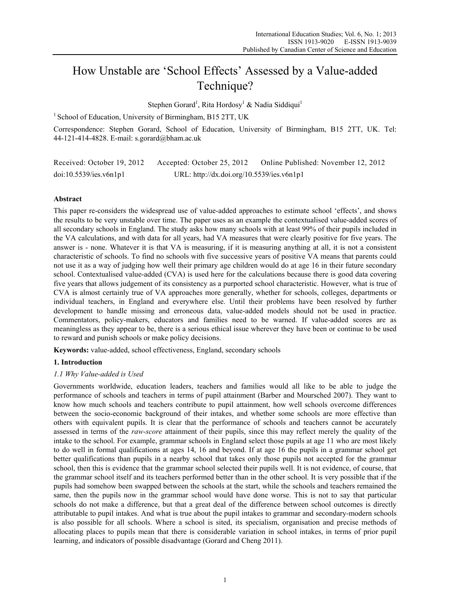# How Unstable are 'School Effects' Assessed by a Value-added Technique?

Stephen Gorard<sup>1</sup>, Rita Hordosy<sup>1</sup> & Nadia Siddiqui<sup>1</sup>

<sup>1</sup> School of Education, University of Birmingham, B15 2TT, UK

Correspondence: Stephen Gorard, School of Education, University of Birmingham, B15 2TT, UK. Tel: 44-121-414-4828. E-mail: s.gorard@bham.ac.uk

Received: October 19, 2012 Accepted: October 25, 2012 Online Published: November 12, 2012 doi:10.5539/ies.v6n1p1 URL: http://dx.doi.org/10.5539/ies.v6n1p1

# **Abstract**

This paper re-considers the widespread use of value-added approaches to estimate school 'effects', and shows the results to be very unstable over time. The paper uses as an example the contextualised value-added scores of all secondary schools in England. The study asks how many schools with at least 99% of their pupils included in the VA calculations, and with data for all years, had VA measures that were clearly positive for five years. The answer is - none. Whatever it is that VA is measuring, if it is measuring anything at all, it is not a consistent characteristic of schools. To find no schools with five successive years of positive VA means that parents could not use it as a way of judging how well their primary age children would do at age 16 in their future secondary school. Contextualised value-added (CVA) is used here for the calculations because there is good data covering five years that allows judgement of its consistency as a purported school characteristic. However, what is true of CVA is almost certainly true of VA approaches more generally, whether for schools, colleges, departments or individual teachers, in England and everywhere else. Until their problems have been resolved by further development to handle missing and erroneous data, value-added models should not be used in practice. Commentators, policy-makers, educators and families need to be warned. If value-added scores are as meaningless as they appear to be, there is a serious ethical issue wherever they have been or continue to be used to reward and punish schools or make policy decisions.

**Keywords:** value-added, school effectiveness, England, secondary schools

## **1. Introduction**

## *1.1 Why Value-added is Used*

Governments worldwide, education leaders, teachers and families would all like to be able to judge the performance of schools and teachers in terms of pupil attainment (Barber and Moursched 2007). They want to know how much schools and teachers contribute to pupil attainment, how well schools overcome differences between the socio-economic background of their intakes, and whether some schools are more effective than others with equivalent pupils. It is clear that the performance of schools and teachers cannot be accurately assessed in terms of the *raw-score* attainment of their pupils, since this may reflect merely the quality of the intake to the school. For example, grammar schools in England select those pupils at age 11 who are most likely to do well in formal qualifications at ages 14, 16 and beyond. If at age 16 the pupils in a grammar school get better qualifications than pupils in a nearby school that takes only those pupils not accepted for the grammar school, then this is evidence that the grammar school selected their pupils well. It is not evidence, of course, that the grammar school itself and its teachers performed better than in the other school. It is very possible that if the pupils had somehow been swapped between the schools at the start, while the schools and teachers remained the same, then the pupils now in the grammar school would have done worse. This is not to say that particular schools do not make a difference, but that a great deal of the difference between school outcomes is directly attributable to pupil intakes. And what is true about the pupil intakes to grammar and secondary-modern schools is also possible for all schools. Where a school is sited, its specialism, organisation and precise methods of allocating places to pupils mean that there is considerable variation in school intakes, in terms of prior pupil learning, and indicators of possible disadvantage (Gorard and Cheng 2011).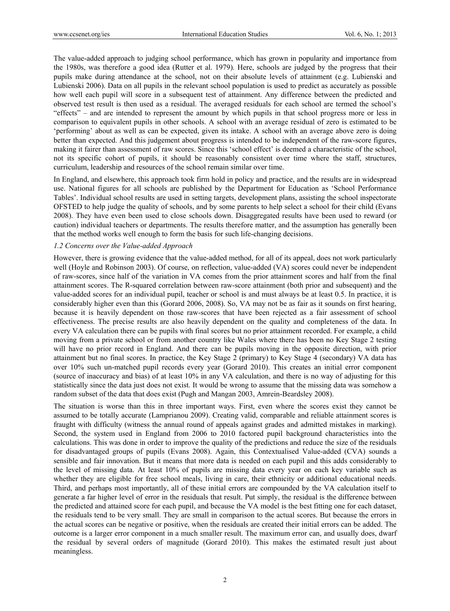The value-added approach to judging school performance, which has grown in popularity and importance from the 1980s, was therefore a good idea (Rutter et al. 1979). Here, schools are judged by the progress that their pupils make during attendance at the school, not on their absolute levels of attainment (e.g. Lubienski and Lubienski 2006). Data on all pupils in the relevant school population is used to predict as accurately as possible how well each pupil will score in a subsequent test of attainment. Any difference between the predicted and observed test result is then used as a residual. The averaged residuals for each school are termed the school's "effects" – and are intended to represent the amount by which pupils in that school progress more or less in comparison to equivalent pupils in other schools. A school with an average residual of zero is estimated to be 'performing' about as well as can be expected, given its intake. A school with an average above zero is doing better than expected. And this judgement about progress is intended to be independent of the raw-score figures, making it fairer than assessment of raw scores. Since this 'school effect' is deemed a characteristic of the school, not its specific cohort of pupils, it should be reasonably consistent over time where the staff, structures, curriculum, leadership and resources of the school remain similar over time.

In England, and elsewhere, this approach took firm hold in policy and practice, and the results are in widespread use. National figures for all schools are published by the Department for Education as 'School Performance Tables'. Individual school results are used in setting targets, development plans, assisting the school inspectorate OFSTED to help judge the quality of schools, and by some parents to help select a school for their child (Evans 2008). They have even been used to close schools down. Disaggregated results have been used to reward (or caution) individual teachers or departments. The results therefore matter, and the assumption has generally been that the method works well enough to form the basis for such life-changing decisions.

## *1.2 Concerns over the Value-added Approach*

However, there is growing evidence that the value-added method, for all of its appeal, does not work particularly well (Hoyle and Robinson 2003). Of course, on reflection, value-added (VA) scores could never be independent of raw-scores, since half of the variation in VA comes from the prior attainment scores and half from the final attainment scores. The R-squared correlation between raw-score attainment (both prior and subsequent) and the value-added scores for an individual pupil, teacher or school is and must always be at least 0.5. In practice, it is considerably higher even than this (Gorard 2006, 2008). So, VA may not be as fair as it sounds on first hearing, because it is heavily dependent on those raw-scores that have been rejected as a fair assessment of school effectiveness. The precise results are also heavily dependent on the quality and completeness of the data. In every VA calculation there can be pupils with final scores but no prior attainment recorded. For example, a child moving from a private school or from another country like Wales where there has been no Key Stage 2 testing will have no prior record in England. And there can be pupils moving in the opposite direction, with prior attainment but no final scores. In practice, the Key Stage 2 (primary) to Key Stage 4 (secondary) VA data has over 10% such un-matched pupil records every year (Gorard 2010). This creates an initial error component (source of inaccuracy and bias) of at least 10% in any VA calculation, and there is no way of adjusting for this statistically since the data just does not exist. It would be wrong to assume that the missing data was somehow a random subset of the data that does exist (Pugh and Mangan 2003, Amrein-Beardsley 2008).

The situation is worse than this in three important ways. First, even where the scores exist they cannot be assumed to be totally accurate (Lamprianou 2009). Creating valid, comparable and reliable attainment scores is fraught with difficulty (witness the annual round of appeals against grades and admitted mistakes in marking). Second, the system used in England from 2006 to 2010 factored pupil background characteristics into the calculations. This was done in order to improve the quality of the predictions and reduce the size of the residuals for disadvantaged groups of pupils (Evans 2008). Again, this Contextualised Value-added (CVA) sounds a sensible and fair innovation. But it means that more data is needed on each pupil and this adds considerably to the level of missing data. At least 10% of pupils are missing data every year on each key variable such as whether they are eligible for free school meals, living in care, their ethnicity or additional educational needs. Third, and perhaps most importantly, all of these initial errors are compounded by the VA calculation itself to generate a far higher level of error in the residuals that result. Put simply, the residual is the difference between the predicted and attained score for each pupil, and because the VA model is the best fitting one for each dataset, the residuals tend to be very small. They are small in comparison to the actual scores. But because the errors in the actual scores can be negative or positive, when the residuals are created their initial errors can be added. The outcome is a larger error component in a much smaller result. The maximum error can, and usually does, dwarf the residual by several orders of magnitude (Gorard 2010). This makes the estimated result just about meaningless.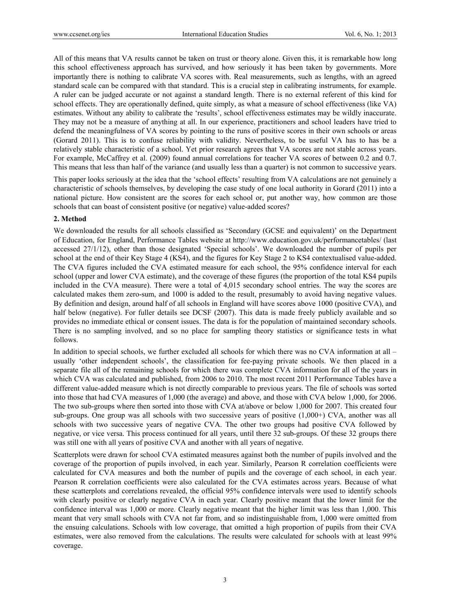All of this means that VA results cannot be taken on trust or theory alone. Given this, it is remarkable how long this school effectiveness approach has survived, and how seriously it has been taken by governments. More importantly there is nothing to calibrate VA scores with. Real measurements, such as lengths, with an agreed standard scale can be compared with that standard. This is a crucial step in calibrating instruments, for example. A ruler can be judged accurate or not against a standard length. There is no external referent of this kind for school effects. They are operationally defined, quite simply, as what a measure of school effectiveness (like VA) estimates. Without any ability to calibrate the 'results', school effectiveness estimates may be wildly inaccurate. They may not be a measure of anything at all. In our experience, practitioners and school leaders have tried to defend the meaningfulness of VA scores by pointing to the runs of positive scores in their own schools or areas (Gorard 2011). This is to confuse reliability with validity. Nevertheless, to be useful VA has to has be a relatively stable characteristic of a school. Yet prior research agrees that VA scores are not stable across years. For example, McCaffrey et al. (2009) found annual correlations for teacher VA scores of between 0.2 and 0.7. This means that less than half of the variance (and usually less than a quarter) is not common to successive years.

This paper looks seriously at the idea that the 'school effects' resulting from VA calculations are not genuinely a characteristic of schools themselves, by developing the case study of one local authority in Gorard (2011) into a national picture. How consistent are the scores for each school or, put another way, how common are those schools that can boast of consistent positive (or negative) value-added scores?

# **2. Method**

We downloaded the results for all schools classified as 'Secondary (GCSE and equivalent)' on the Department of Education, for England, Performance Tables website at http://www.education.gov.uk/performancetables/ (last accessed 27/1/12), other than those designated 'Special schools'. We downloaded the number of pupils per school at the end of their Key Stage 4 (KS4), and the figures for Key Stage 2 to KS4 contextualised value-added. The CVA figures included the CVA estimated measure for each school, the 95% confidence interval for each school (upper and lower CVA estimate), and the coverage of these figures (the proportion of the total KS4 pupils included in the CVA measure). There were a total of 4,015 secondary school entries. The way the scores are calculated makes them zero-sum, and 1000 is added to the result, presumably to avoid having negative values. By definition and design, around half of all schools in England will have scores above 1000 (positive CVA), and half below (negative). For fuller details see DCSF (2007). This data is made freely publicly available and so provides no immediate ethical or consent issues. The data is for the population of maintained secondary schools. There is no sampling involved, and so no place for sampling theory statistics or significance tests in what follows.

In addition to special schools, we further excluded all schools for which there was no CVA information at all – usually 'other independent schools', the classification for fee-paying private schools. We then placed in a separate file all of the remaining schools for which there was complete CVA information for all of the years in which CVA was calculated and published, from 2006 to 2010. The most recent 2011 Performance Tables have a different value-added measure which is not directly comparable to previous years. The file of schools was sorted into those that had CVA measures of 1,000 (the average) and above, and those with CVA below 1,000, for 2006. The two sub-groups where then sorted into those with CVA at/above or below 1,000 for 2007. This created four sub-groups. One group was all schools with two successive years of positive (1,000+) CVA, another was all schools with two successive years of negative CVA. The other two groups had positive CVA followed by negative, or vice versa. This process continued for all years, until there 32 sub-groups. Of these 32 groups there was still one with all years of positive CVA and another with all years of negative.

Scatterplots were drawn for school CVA estimated measures against both the number of pupils involved and the coverage of the proportion of pupils involved, in each year. Similarly, Pearson R correlation coefficients were calculated for CVA measures and both the number of pupils and the coverage of each school, in each year. Pearson R correlation coefficients were also calculated for the CVA estimates across years. Because of what these scatterplots and correlations revealed, the official 95% confidence intervals were used to identify schools with clearly positive or clearly negative CVA in each year. Clearly positive meant that the lower limit for the confidence interval was 1,000 or more. Clearly negative meant that the higher limit was less than 1,000. This meant that very small schools with CVA not far from, and so indistinguishable from, 1,000 were omitted from the ensuing calculations. Schools with low coverage, that omitted a high proportion of pupils from their CVA estimates, were also removed from the calculations. The results were calculated for schools with at least 99% coverage.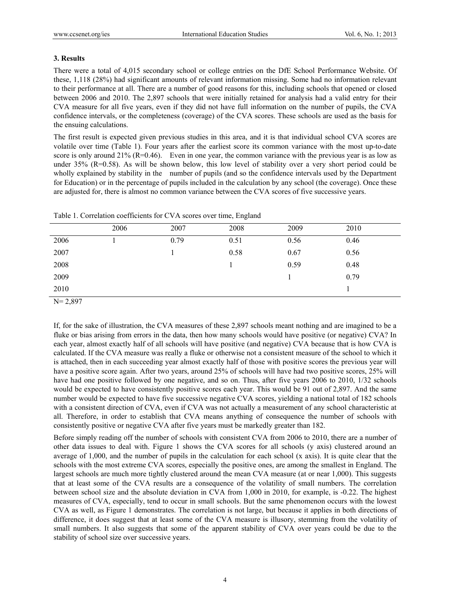# **3. Results**

There were a total of 4,015 secondary school or college entries on the DfE School Performance Website. Of these, 1,118 (28%) had significant amounts of relevant information missing. Some had no information relevant to their performance at all. There are a number of good reasons for this, including schools that opened or closed between 2006 and 2010. The 2,897 schools that were initially retained for analysis had a valid entry for their CVA measure for all five years, even if they did not have full information on the number of pupils, the CVA confidence intervals, or the completeness (coverage) of the CVA scores. These schools are used as the basis for the ensuing calculations.

The first result is expected given previous studies in this area, and it is that individual school CVA scores are volatile over time (Table 1). Four years after the earliest score its common variance with the most up-to-date score is only around 21% (R=0.46). Even in one year, the common variance with the previous year is as low as under 35% (R=0.58). As will be shown below, this low level of stability over a very short period could be wholly explained by stability in the number of pupils (and so the confidence intervals used by the Department for Education) or in the percentage of pupils included in the calculation by any school (the coverage). Once these are adjusted for, there is almost no common variance between the CVA scores of five successive years.

Table 1. Correlation coefficients for CVA scores over time, England

|             | 2006 | 2007 | 2008 | 2009 | 2010 |
|-------------|------|------|------|------|------|
| 2006        |      | 0.79 | 0.51 | 0.56 | 0.46 |
| 2007        |      |      | 0.58 | 0.67 | 0.56 |
| 2008        |      |      |      | 0.59 | 0.48 |
| 2009        |      |      |      |      | 0.79 |
| 2010        |      |      |      |      |      |
| $N = 2,897$ |      |      |      |      |      |

If, for the sake of illustration, the CVA measures of these 2,897 schools meant nothing and are imagined to be a fluke or bias arising from errors in the data, then how many schools would have positive (or negative) CVA? In each year, almost exactly half of all schools will have positive (and negative) CVA because that is how CVA is calculated. If the CVA measure was really a fluke or otherwise not a consistent measure of the school to which it is attached, then in each succeeding year almost exactly half of those with positive scores the previous year will have a positive score again. After two years, around 25% of schools will have had two positive scores, 25% will have had one positive followed by one negative, and so on. Thus, after five years 2006 to 2010, 1/32 schools would be expected to have consistently positive scores each year. This would be 91 out of 2,897. And the same number would be expected to have five successive negative CVA scores, yielding a national total of 182 schools with a consistent direction of CVA, even if CVA was not actually a measurement of any school characteristic at all. Therefore, in order to establish that CVA means anything of consequence the number of schools with consistently positive or negative CVA after five years must be markedly greater than 182.

Before simply reading off the number of schools with consistent CVA from 2006 to 2010, there are a number of other data issues to deal with. Figure 1 shows the CVA scores for all schools (y axis) clustered around an average of 1,000, and the number of pupils in the calculation for each school (x axis). It is quite clear that the schools with the most extreme CVA scores, especially the positive ones, are among the smallest in England. The largest schools are much more tightly clustered around the mean CVA measure (at or near 1,000). This suggests that at least some of the CVA results are a consequence of the volatility of small numbers. The correlation between school size and the absolute deviation in CVA from 1,000 in 2010, for example, is -0.22. The highest measures of CVA, especially, tend to occur in small schools. But the same phenomenon occurs with the lowest CVA as well, as Figure 1 demonstrates. The correlation is not large, but because it applies in both directions of difference, it does suggest that at least some of the CVA measure is illusory, stemming from the volatility of small numbers. It also suggests that some of the apparent stability of CVA over years could be due to the stability of school size over successive years.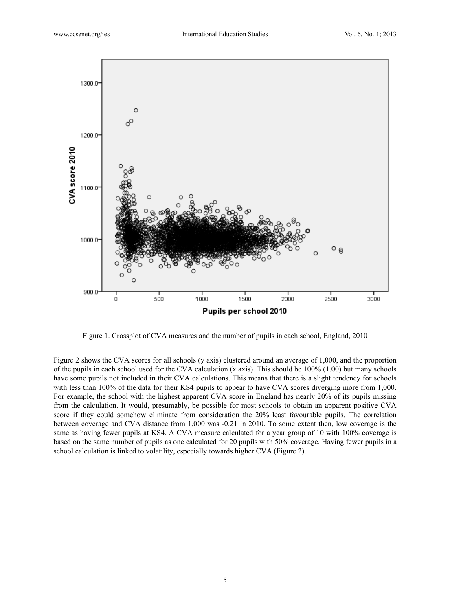

Figure 1. Crossplot of CVA measures and the number of pupils in each school, England, 2010

Figure 2 shows the CVA scores for all schools (y axis) clustered around an average of 1,000, and the proportion of the pupils in each school used for the CVA calculation (x axis). This should be 100% (1.00) but many schools have some pupils not included in their CVA calculations. This means that there is a slight tendency for schools with less than 100% of the data for their KS4 pupils to appear to have CVA scores diverging more from 1,000. For example, the school with the highest apparent CVA score in England has nearly 20% of its pupils missing from the calculation. It would, presumably, be possible for most schools to obtain an apparent positive CVA score if they could somehow eliminate from consideration the 20% least favourable pupils. The correlation between coverage and CVA distance from 1,000 was -0.21 in 2010. To some extent then, low coverage is the same as having fewer pupils at KS4. A CVA measure calculated for a year group of 10 with 100% coverage is based on the same number of pupils as one calculated for 20 pupils with 50% coverage. Having fewer pupils in a school calculation is linked to volatility, especially towards higher CVA (Figure 2).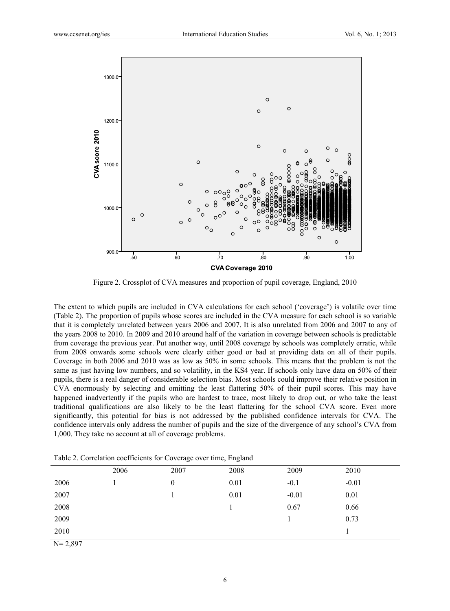

Figure 2. Crossplot of CVA measures and proportion of pupil coverage, England, 2010

The extent to which pupils are included in CVA calculations for each school ('coverage') is volatile over time (Table 2). The proportion of pupils whose scores are included in the CVA measure for each school is so variable that it is completely unrelated between years 2006 and 2007. It is also unrelated from 2006 and 2007 to any of the years 2008 to 2010. In 2009 and 2010 around half of the variation in coverage between schools is predictable from coverage the previous year. Put another way, until 2008 coverage by schools was completely erratic, while from 2008 onwards some schools were clearly either good or bad at providing data on all of their pupils. Coverage in both 2006 and 2010 was as low as 50% in some schools. This means that the problem is not the same as just having low numbers, and so volatility, in the KS4 year. If schools only have data on 50% of their pupils, there is a real danger of considerable selection bias. Most schools could improve their relative position in CVA enormously by selecting and omitting the least flattering 50% of their pupil scores. This may have happened inadvertently if the pupils who are hardest to trace, most likely to drop out, or who take the least traditional qualifications are also likely to be the least flattering for the school CVA score. Even more significantly, this potential for bias is not addressed by the published confidence intervals for CVA. The confidence intervals only address the number of pupils and the size of the divergence of any school's CVA from 1,000. They take no account at all of coverage problems.

|             | 2006 | 2007             | 2008 | 2009    | 2010    |
|-------------|------|------------------|------|---------|---------|
| 2006        |      | $\boldsymbol{0}$ | 0.01 | $-0.1$  | $-0.01$ |
| 2007        |      |                  | 0.01 | $-0.01$ | 0.01    |
| 2008        |      |                  |      | 0.67    | 0.66    |
| 2009        |      |                  |      |         | 0.73    |
| 2010        |      |                  |      |         |         |
| $N = 2,897$ |      |                  |      |         |         |

Table 2. Correlation coefficients for Coverage over time, England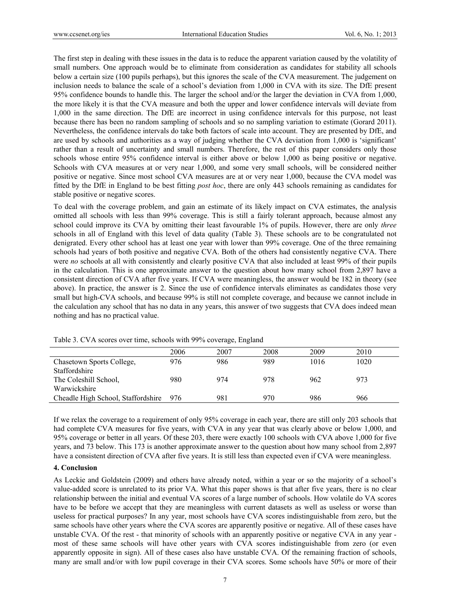The first step in dealing with these issues in the data is to reduce the apparent variation caused by the volatility of small numbers. One approach would be to eliminate from consideration as candidates for stability all schools below a certain size (100 pupils perhaps), but this ignores the scale of the CVA measurement. The judgement on inclusion needs to balance the scale of a school's deviation from 1,000 in CVA with its size. The DfE present 95% confidence bounds to handle this. The larger the school and/or the larger the deviation in CVA from 1,000, the more likely it is that the CVA measure and both the upper and lower confidence intervals will deviate from 1,000 in the same direction. The DfE are incorrect in using confidence intervals for this purpose, not least because there has been no random sampling of schools and so no sampling variation to estimate (Gorard 2011). Nevertheless, the confidence intervals do take both factors of scale into account. They are presented by DfE, and are used by schools and authorities as a way of judging whether the CVA deviation from 1,000 is 'significant' rather than a result of uncertainty and small numbers. Therefore, the rest of this paper considers only those schools whose entire 95% confidence interval is either above or below 1,000 as being positive or negative. Schools with CVA measures at or very near 1,000, and some very small schools, will be considered neither positive or negative. Since most school CVA measures are at or very near 1,000, because the CVA model was fitted by the DfE in England to be best fitting *post hoc*, there are only 443 schools remaining as candidates for stable positive or negative scores.

To deal with the coverage problem, and gain an estimate of its likely impact on CVA estimates, the analysis omitted all schools with less than 99% coverage. This is still a fairly tolerant approach, because almost any school could improve its CVA by omitting their least favourable 1% of pupils. However, there are only *three* schools in all of England with this level of data quality (Table 3). These schools are to be congratulated not denigrated. Every other school has at least one year with lower than 99% coverage. One of the three remaining schools had years of both positive and negative CVA. Both of the others had consistently negative CVA. There were *no* schools at all with consistently and clearly positive CVA that also included at least 99% of their pupils in the calculation. This is one approximate answer to the question about how many school from 2,897 have a consistent direction of CVA after five years. If CVA were meaningless, the answer would be 182 in theory (see above). In practice, the answer is 2. Since the use of confidence intervals eliminates as candidates those very small but high-CVA schools, and because 99% is still not complete coverage, and because we cannot include in the calculation any school that has no data in any years, this answer of two suggests that CVA does indeed mean nothing and has no practical value.

|                                    | 2006 | 2007 | 2008 | 2009 | 2010 |
|------------------------------------|------|------|------|------|------|
| Chasetown Sports College,          | 976  | 986  | 989  | 1016 | 1020 |
| <b>Staffordshire</b>               |      |      |      |      |      |
| The Coleshill School,              | 980  | 974  | 978  | 962  | 973  |
| Warwickshire                       |      |      |      |      |      |
| Cheadle High School, Staffordshire | -976 | 981  | 970  | 986  | 966  |

Table 3. CVA scores over time, schools with 99% coverage, England

If we relax the coverage to a requirement of only 95% coverage in each year, there are still only 203 schools that had complete CVA measures for five years, with CVA in any year that was clearly above or below 1,000, and 95% coverage or better in all years. Of these 203, there were exactly 100 schools with CVA above 1,000 for five years, and 73 below. This 173 is another approximate answer to the question about how many school from 2,897 have a consistent direction of CVA after five years. It is still less than expected even if CVA were meaningless.

## **4. Conclusion**

As Leckie and Goldstein (2009) and others have already noted, within a year or so the majority of a school's value-added score is unrelated to its prior VA. What this paper shows is that after five years, there is no clear relationship between the initial and eventual VA scores of a large number of schools. How volatile do VA scores have to be before we accept that they are meaningless with current datasets as well as useless or worse than useless for practical purposes? In any year, most schools have CVA scores indistinguishable from zero, but the same schools have other years where the CVA scores are apparently positive or negative. All of these cases have unstable CVA. Of the rest - that minority of schools with an apparently positive or negative CVA in any year most of these same schools will have other years with CVA scores indistinguishable from zero (or even apparently opposite in sign). All of these cases also have unstable CVA. Of the remaining fraction of schools, many are small and/or with low pupil coverage in their CVA scores. Some schools have 50% or more of their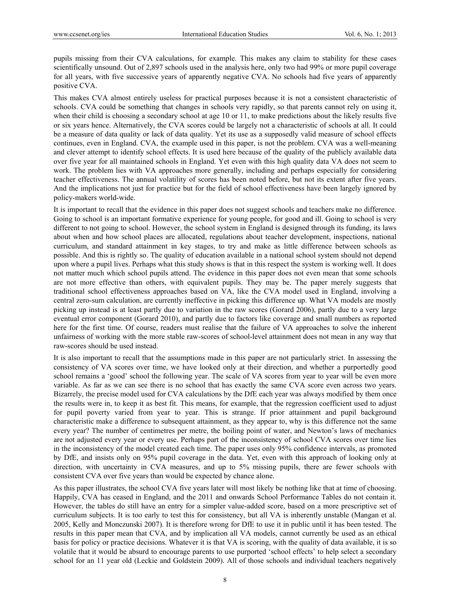pupils missing from their CVA calculations, for example. This makes any claim to stability for these cases scientifically unsound. Out of 2,897 schools used in the analysis here, only two had 99% or more pupil coverage for all years, with five successive years of apparently negative CVA. No schools had five years of apparently positive CVA.

This makes CVA almost entirely useless for practical purposes because it is not a consistent characteristic of schools. CVA could be something that changes in schools very rapidly, so that parents cannot rely on using it, when their child is choosing a secondary school at age 10 or 11, to make predictions about the likely results five or six years hence. Alternatively, the CVA scores could be largely not a characteristic of schools at all. It could be a measure of data quality or lack of data quality. Yet its use as a supposedly valid measure of school effects continues, even in England. CVA, the example used in this paper, is not the problem. CVA was a well-meaning and clever attempt to identify school effects. It is used here because of the quality of the publicly available data over five year for all maintained schools in England. Yet even with this high quality data VA does not seem to work. The problem lies with VA approaches more generally, including and perhaps especially for considering teacher effectiveness. The annual volatility of scores has been noted before, but not its extent after five years. And the implications not just for practice but for the field of school effectiveness have been largely ignored by policy-makers world-wide.

It is important to recall that the evidence in this paper does not suggest schools and teachers make no difference. Going to school is an important formative experience for young people, for good and ill. Going to school is very different to not going to school. However, the school system in England is designed through its funding, its laws about when and how school places are allocated, regulations about teacher development, inspections, national curriculum, and standard attainment in key stages, to try and make as little difference between schools as possible. And this is rightly so. The quality of education available in a national school system should not depend upon where a pupil lives. Perhaps what this study shows is that in this respect the system is working well. It does not matter much which school pupils attend. The evidence in this paper does not even mean that some schools are not more effective than others, with equivalent pupils. They may be. The paper merely suggests that traditional school effectiveness approaches based on VA, like the CVA model used in England, involving a central zero-sum calculation, are currently ineffective in picking this difference up. What VA models are mostly picking up instead is at least partly due to variation in the raw scores (Gorard 2006), partly due to a very large eventual error component (Gorard 2010), and partly due to factors like coverage and small numbers as reported here for the first time. Of course, readers must realise that the failure of VA approaches to solve the inherent unfairness of working with the more stable raw-scores of school-level attainment does not mean in any way that raw-scores should be used instead.

It is also important to recall that the assumptions made in this paper are not particularly strict. In assessing the consistency of VA scores over time, we have looked only at their direction, and whether a purportedly good school remains a 'good' school the following year. The scale of VA scores from year to year will be even more variable. As far as we can see there is no school that has exactly the same CVA score even across two years. Bizarrely, the precise model used for CVA calculations by the DfE each year was always modified by them once the results were in, to keep it as best fit. This means, for example, that the regression coefficient used to adjust for pupil poverty varied from year to year. This is strange. If prior attainment and pupil background characteristic make a difference to subsequent attainment, as they appear to, why is this difference not the same every year? The number of centimetres per metre, the boiling point of water, and Newton's laws of mechanics are not adjusted every year or every use. Perhaps part of the inconsistency of school CVA scores over time lies in the inconsistency of the model created each time. The paper uses only 95% confidence intervals, as promoted by DfE, and insists only on 95% pupil coverage in the data. Yet, even with this approach of looking only at direction, with uncertainty in CVA measures, and up to 5% missing pupils, there are fewer schools with consistent CVA over five years than would be expected by chance alone.

As this paper illustrates, the school CVA five years later will most likely be nothing like that at time of choosing. Happily, CVA has ceased in England, and the 2011 and onwards School Performance Tables do not contain it. However, the tables do still have an entry for a simpler value-added score, based on a more prescriptive set of curriculum subjects. It is too early to test this for consistency, but all VA is inherently unstable (Mangan et al. 2005, Kelly and Monczunski 2007). It is therefore wrong for DfE to use it in public until it has been tested. The results in this paper mean that CVA, and by implication all VA models, cannot currently be used as an ethical basis for policy or practice decisions. Whatever it is that VA is scoring, with the quality of data available, it is so volatile that it would be absurd to encourage parents to use purported 'school effects' to help select a secondary school for an 11 year old (Leckie and Goldstein 2009). All of those schools and individual teachers negatively